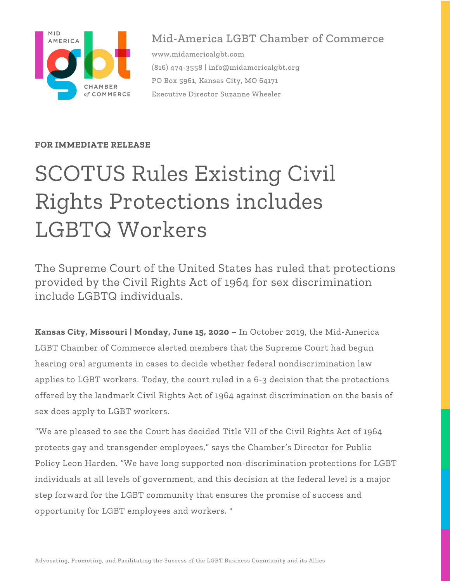

## Mid-America LGBT Chamber of Commerce

www.midamericalgbt.com (816) 474-3558 | info@midamericalgbt.org PO Box 5961, Kansas City, MO 64171 Executive Director Suzanne Wheeler

## **FOR IMMEDIATE RELEASE**

## SCOTUS Rules Existing Civil Rights Protections includes LGBTQ Workers

The Supreme Court of the United States has ruled that protections provided by the Civil Rights Act of 1964 for sex discrimination include LGBTQ individuals.

**Kansas City, Missouri | Monday, June 15, 2020 –** In October 2019, the Mid-America LGBT Chamber of Commerce alerted members that the Supreme Court had begun hearing oral arguments in cases to decide whether federal nondiscrimination law applies to LGBT workers. Today, the court ruled in a 6-3 decision that the protections offered by the landmark Civil Rights Act of 1964 against discrimination on the basis of sex does apply to LGBT workers.

"We are pleased to see the Court has decided Title VII of the Civil Rights Act of 1964 protects gay and transgender employees," says the Chamber's Director for Public Policy Leon Harden. "We have long supported non-discrimination protections for LGBT individuals at all levels of government, and this decision at the federal level is a major step forward for the LGBT community that ensures the promise of success and opportunity for LGBT employees and workers. "